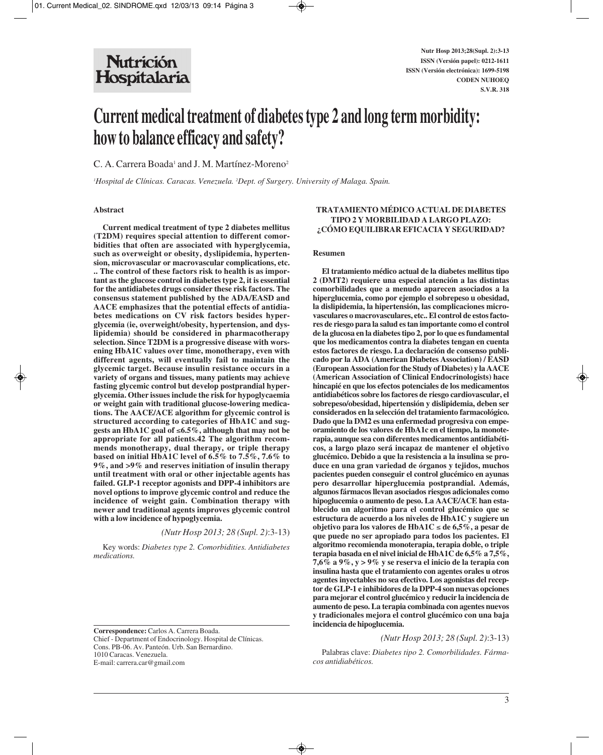# **Current medical treatment of diabetes type 2 and long term morbidity: how to balance efficacy and safety?**

C. A. Carrera Boada<sup>1</sup> and J. M. Martínez-Moreno<sup>2</sup>

*1 Hospital de Clínicas. Caracas. Venezuela. 2 Dept. of Surgery. University of Malaga. Spain.*

#### **Abstract**

**Current medical treatment of type 2 diabetes mellitus (T2DM) requires special attention to different comorbidities that often are associated with hyperglycemia, such as overweight or obesity, dyslipidemia, hypertension, microvascular or macrovascular complications, etc. .. The control of these factors risk to health is as important as the glucose control in diabetes type 2, it is essential for the antidiabetes drugs consider these risk factors. The consensus statement published by the ADA/EASD and AACE emphasizes that the potential effects of antidiabetes medications on CV risk factors besides hyperglycemia (ie, overweight/obesity, hypertension, and dyslipidemia) should be considered in pharmacotherapy selection. Since T2DM is a progressive disease with worsening HbA1C values over time, monotherapy, even with different agents, will eventually fail to maintain the glycemic target. Because insulin resistance occurs in a variety of organs and tissues, many patients may achieve fasting glycemic control but develop postprandial hyperglycemia. Other issues include the risk for hypoglycaemia or weight gain with traditional glucose-lowering medications. The AACE/ACE algorithm for glycemic control is structured according to categories of HbA1C and suggests an HbA1C goal of** ≤**6.5%, although that may not be appropriate for all patients.42 The algorithm recommends monotherapy, dual therapy, or triple therapy based on initial HbA1C level of 6.5% to 7.5%, 7.6% to 9%, and >9% and reserves initiation of insulin therapy until treatment with oral or other injectable agents has failed. GLP-1 receptor agonists and DPP-4 inhibitors are novel options to improve glycemic control and reduce the incidence of weight gain. Combination therapy with newer and traditional agents improves glycemic control with a low incidence of hypoglycemia.** 

## *(Nutr Hosp 2013; 28 (Supl. 2)*:3-13)

Key words: *Diabetes type 2. Comorbidities. Antidiabetes medications.*

**Correspondence:** Carlos A. Carrera Boada. Chief - Department of Endocrinology. Hospital de Clínicas. Cons. PB-06. Av. Panteón. Urb. San Bernardino. 1010 Caracas. Venezuela. E-mail: carrera.car@gmail.com

# **TRATAMIENTO MÉDICO ACTUAL DE DIABETES TIPO 2 Y MORBILIDAD A LARGO PLAZO: ¿CÓMO EQUILIBRAR EFICACIA Y SEGURIDAD?**

#### **Resumen**

**El tratamiento médico actual de la diabetes mellitus tipo 2 (DMT2) requiere una especial atención a las distintas comorbilidades que a menudo aparecen asociados a la hiperglucemia, como por ejemplo el sobrepeso u obesidad, la dislipidemia, la hipertensión, las complicaciones microvasculares o macrovasculares, etc.. El control de estos factores de riesgo para la salud es tan importante como el control de la glucosa en la diabetes tipo 2, por lo que es fundamental que los medicamentos contra la diabetes tengan en cuenta estos factores de riesgo. La declaración de consenso publicado por la ADA (American Diabetes Association) / EASD (European Association for the Study of Diabetes) y la AACE (American Association of Clinical Endocrinologists) hace hincapié en que los efectos potenciales de los medicamentos antidiabéticos sobre los factores de riesgo cardiovascular, el sobrepeso/obesidad, hipertensión y dislipidemia, deben ser considerados en la selección del tratamiento farmacológico. Dado que la DM2 es una enfermedad progresiva con empeoramiento de los valores de HbA1c en el tiempo, la monoterapia, aunque sea con diferentes medicamentos antidiabéticos, a largo plazo será incapaz de mantener el objetivo glucémico. Debido a que la resistencia a la insulina se produce en una gran variedad de órganos y tejidos, muchos pacientes pueden conseguir el control glucémico en ayunas pero desarrollar hiperglucemia postprandial. Además, algunos fármacos llevan asociados riesgos adicionales como hipoglucemia o aumento de peso. La AACE/ACE han establecido un algoritmo para el control glucémico que se estructura de acuerdo a los niveles de HbA1C y sugiere un objetivo para los valores de HbA1C** ≤ **de 6,5%, a pesar de que puede no ser apropiado para todos los pacientes. El algoritmo recomienda monoterapia, terapia doble, o triple terapia basada en el nivel inicial de HbA1C de 6,5% a 7,5%, 7,6% a 9%, y > 9% y se reserva el inicio de la terapia con insulina hasta que el tratamiento con agentes orales u otros agentes inyectables no sea efectivo. Los agonistas del receptor de GLP-1 e inhibidores de la DPP-4 son nuevas opciones para mejorar el control glucémico y reducir la incidencia de aumento de peso. La terapia combinada con agentes nuevos y tradicionales mejora el control glucémico con una baja incidencia de hipoglucemia.**

*(Nutr Hosp 2013; 28 (Supl. 2)*:3-13)

Palabras clave: *Diabetes tipo 2. Comorbilidades. Fármacos antidiabéticos.*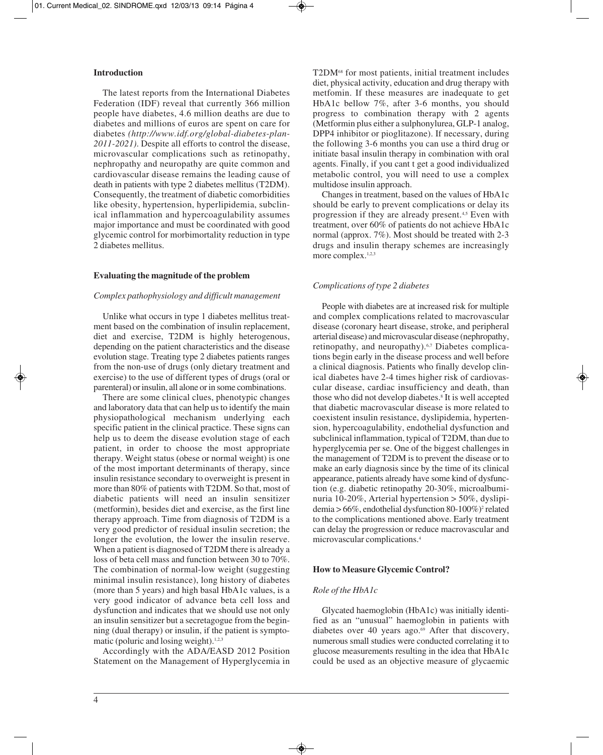# **Introduction**

The latest reports from the International Diabetes Federation (IDF) reveal that currently 366 million people have diabetes, 4.6 million deaths are due to diabetes and millions of euros are spent on care for diabetes *(http://www.idf.org/global-diabetes-plan-2011-2021)*. Despite all efforts to control the disease, microvascular complications such as retinopathy, nephropathy and neuropathy are quite common and cardiovascular disease remains the leading cause of death in patients with type 2 diabetes mellitus (T2DM). Consequently, the treatment of diabetic comorbidities like obesity, hypertension, hyperlipidemia, subclinical inflammation and hypercoagulability assumes major importance and must be coordinated with good glycemic control for morbimortality reduction in type 2 diabetes mellitus.

# **Evaluating the magnitude of the problem**

# *Complex pathophysiology and difficult management*

Unlike what occurs in type 1 diabetes mellitus treatment based on the combination of insulin replacement, diet and exercise, T2DM is highly heterogenous, depending on the patient characteristics and the disease evolution stage. Treating type 2 diabetes patients ranges from the non-use of drugs (only dietary treatment and exercise) to the use of different types of drugs (oral or parenteral) or insulin, all alone or in some combinations.

There are some clinical clues, phenotypic changes and laboratory data that can help us to identify the main physiopathological mechanism underlying each specific patient in the clinical practice. These signs can help us to deem the disease evolution stage of each patient, in order to choose the most appropriate therapy. Weight status (obese or normal weight) is one of the most important determinants of therapy, since insulin resistance secondary to overweight is present in more than 80% of patients with T2DM. So that, most of diabetic patients will need an insulin sensitizer (metformin), besides diet and exercise, as the first line therapy approach. Time from diagnosis of T2DM is a very good predictor of residual insulin secretion; the longer the evolution, the lower the insulin reserve. When a patient is diagnosed of T2DM there is already a loss of beta cell mass and function between 30 to 70%. The combination of normal-low weight (suggesting minimal insulin resistance), long history of diabetes (more than 5 years) and high basal HbA1c values, is a very good indicator of advance beta cell loss and dysfunction and indicates that we should use not only an insulin sensitizer but a secretagogue from the beginning (dual therapy) or insulin, if the patient is symptomatic (poluric and losing weight). $1,2,3$ 

Accordingly with the ADA/EASD 2012 Position Statement on the Management of Hyperglycemia in T2DM<sup>68</sup> for most patients, initial treatment includes diet, physical activity, education and drug therapy with metfomin. If these measures are inadequate to get HbA1c bellow 7%, after 3-6 months, you should progress to combination therapy with 2 agents (Metformin plus either a sulphonylurea, GLP-1 analog, DPP4 inhibitor or pioglitazone). If necessary, during the following 3-6 months you can use a third drug or initiate basal insulin therapy in combination with oral agents. Finally, if you cant t get a good individualized metabolic control, you will need to use a complex multidose insulin approach.

Changes in treatment, based on the values of HbA1c should be early to prevent complications or delay its progression if they are already present.4,5 Even with treatment, over 60% of patients do not achieve HbA1c normal (approx. 7%). Most should be treated with 2-3 drugs and insulin therapy schemes are increasingly more complex.<sup>1,2,3</sup>

## *Complications of type 2 diabetes*

People with diabetes are at increased risk for multiple and complex complications related to macrovascular disease (coronary heart disease, stroke, and peripheral arterial disease) and microvascular disease (nephropathy, retinopathy, and neuropathy).6,7 Diabetes complications begin early in the disease process and well before a clinical diagnosis. Patients who finally develop clinical diabetes have 2-4 times higher risk of cardiovascular disease, cardiac insufficiency and death, than those who did not develop diabetes.<sup>8</sup> It is well accepted that diabetic macrovascular disease is more related to coexistent insulin resistance, dyslipidemia, hypertension, hypercoagulability, endothelial dysfunction and subclinical inflammation, typical of T2DM, than due to hyperglycemia per se. One of the biggest challenges in the management of T2DM is to prevent the disease or to make an early diagnosis since by the time of its clinical appearance, patients already have some kind of dysfunction (e.g. diabetic retinopathy 20-30%, microalbumi nuria 10-20%, Arterial hypertension > 50%, dyslipidemia > 66%, endothelial dysfunction 80-100%)2 related to the complications mentioned above. Early treatment can delay the progression or reduce macrovascular and microvascular complications.4

#### **How to Measure Glycemic Control?**

# *Role of the HbA1c*

Glycated haemoglobin (HbA1c) was initially identified as an "unusual" haemoglobin in patients with diabetes over 40 years ago.<sup>69</sup> After that discovery, numerous small studies were conducted correlating it to glucose measurements resulting in the idea that HbA1c could be used as an objective measure of glycaemic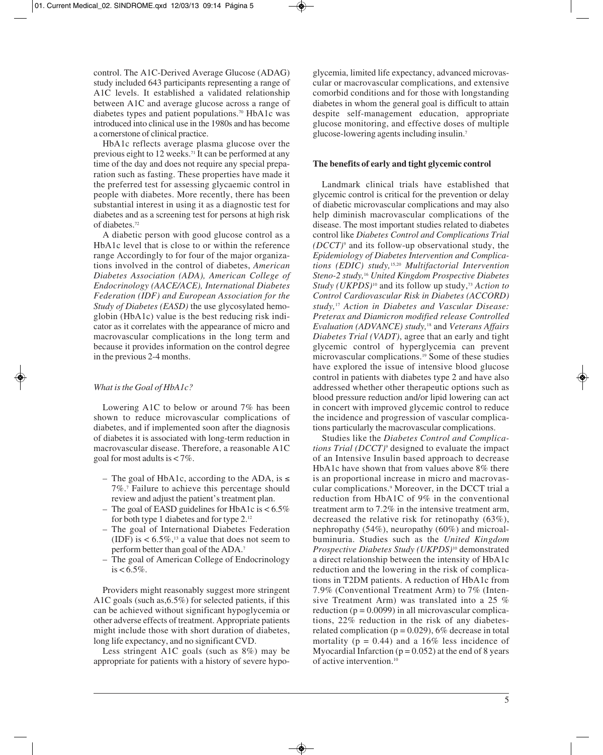control. The A1C-Derived Average Glucose (ADAG) study included 643 participants representing a range of A1C levels. It established a validated relationship between A1C and average glucose across a range of diabetes types and patient populations.70 HbA1c was introduced into clinical use in the 1980s and has become a cornerstone of clinical practice.

HbA1c reflects average plasma glucose over the previous eight to 12 weeks.71 It can be performed at any time of the day and does not require any special preparation such as fasting. These properties have made it the preferred test for assessing glycaemic control in people with diabetes. More recently, there has been substantial interest in using it as a diagnostic test for diabetes and as a screening test for persons at high risk of diabetes.72

A diabetic person with good glucose control as a HbA1c level that is close to or within the reference range Accordingly to for four of the major organizations involved in the control of diabetes, *American Diabetes Association (ADA), American College of Endocrinology (AACE/ACE), International Diabetes Federation (IDF) and European Association for the Study of Diabetes (EASD)* the use glycosylated hemoglobin (HbA1c) value is the best reducing risk indicator as it correlates with the appearance of micro and macrovascular complications in the long term and because it provides information on the control degree in the previous 2-4 months.

# *What is the Goal of HbA1c?*

Lowering A1C to below or around 7% has been shown to reduce microvascular complications of diabetes, and if implemented soon after the diagnosis of diabetes it is associated with long-term reduction in macrovascular disease. Therefore, a reasonable A1C goal for most adults is < 7%.

- The goal of HbA1c, according to the ADA, is  $\le$ 7%.7 Failure to achieve this percentage should review and adjust the patient's treatment plan.
- The goal of EASD guidelines for HbA1c is < 6.5% for both type 1 diabetes and for type 2.12
- The goal of International Diabetes Federation (IDF) is  $< 6.5\%$ ,<sup>13</sup> a value that does not seem to perform better than goal of the ADA.7
- The goal of American College of Endocrinology  $is < 6.5\%$ .

Providers might reasonably suggest more stringent A1C goals (such as,6.5%) for selected patients, if this can be achieved without significant hypoglycemia or other adverse effects of treatment. Appropriate patients might include those with short duration of diabetes, long life expectancy, and no significant CVD.

Less stringent A1C goals (such as 8%) may be appropriate for patients with a history of severe hypoglycemia, limited life expectancy, advanced microvascular or macrovascular complications, and extensive comorbid conditions and for those with longstanding diabetes in whom the general goal is difficult to attain despite self-management education, appropriate glucose monitoring, and effective doses of multiple glucose-lowering agents including insulin.7

# **The benefits of early and tight glycemic control**

Landmark clinical trials have established that glycemic control is critical for the prevention or delay of diabetic microvascular complications and may also help diminish macrovascular complications of the disease. The most important studies related to diabetes control like *Diabetes Control and Complications Trial (DCCT)*<sup>9</sup> and its follow-up observational study, the *Epidemiology of Diabetes Intervention and Complications (EDIC) study,*15,20 *Multifactorial Intervention Steno-2 study,*<sup>16</sup> *United Kingdom Prospective Diabetes Study (UKPDS)*<sup>10</sup> and its follow up study,<sup>73</sup> *Action to Control Cardiovascular Risk in Diabetes (ACCORD) study,*<sup>17</sup> *Action in Diabetes and Vascular Disease: Preterax and Diamicron modified release Controlled Evaluation (ADVANCE) study,*<sup>18</sup> and *Veterans Affairs Diabetes Trial (VADT)*, agree that an early and tight glycemic control of hyperglycemia can prevent microvascular complications.19 Some of these studies have explored the issue of intensive blood glucose control in patients with diabetes type 2 and have also addressed whether other therapeutic options such as blood pressure reduction and/or lipid lowering can act in concert with improved glycemic control to reduce the incidence and progression of vascular complications particularly the macrovascular complications.

Studies like the *Diabetes Control and Complications Trial (DCCT)*<sup>9</sup> designed to evaluate the impact of an Intensive Insulin based approach to decrease HbA1c have shown that from values above 8% there is an proportional increase in micro and macrovascular complications.9 Moreover, in the DCCT trial a reduction from HbA1C of 9% in the conventional treatment arm to 7.2% in the intensive treatment arm, decreased the relative risk for retinopathy (63%), nephropathy (54%), neuropathy (60%) and microalbuminuria. Studies such as the *United Kingdom Prospective Diabetes Study (UKPDS)*<sup>10</sup> demonstrated a direct relationship between the intensity of HbA1c reduction and the lowering in the risk of complications in T2DM patients. A reduction of HbA1c from 7.9% (Conventional Treatment Arm) to 7% (Intensive Treatment Arm) was translated into a 25 % reduction ( $p = 0.0099$ ) in all microvascular complications, 22% reduction in the risk of any diabetesrelated complication ( $p = 0.029$ ), 6% decrease in total mortality ( $p = 0.44$ ) and a 16% less incidence of Myocardial Infarction ( $p = 0.052$ ) at the end of 8 years of active intervention.10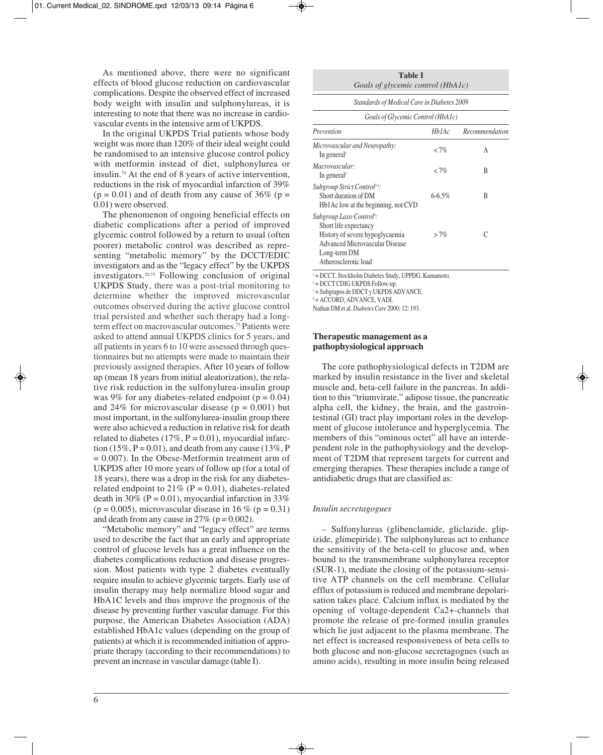As mentioned above, there were no significant effects of blood glucose reduction on cardiovascular complications. Despite the observed effect of increased body weight with insulin and sulphonylureas, it is interesting to note that there was no increase in cardiovascular events in the intensive arm of UKPDS.

In the original UKPDS Trial patients whose body weight was more than 120% of their ideal weight could be randomised to an intensive glucose control policy with metformin instead of diet, sulphonylurea or insulin.74 At the end of 8 years of active intervention, reductions in the risk of myocardial infarction of 39%  $(p = 0.01)$  and of death from any cause of 36% (p = 0.01) were observed.

The phenomenon of ongoing beneficial effects on diabetic complications after a period of improved glycemic control followed by a return to usual (often poorer) metabolic control was described as representing "metabolic memory" by the DCCT/EDIC investigators and as the "legacy effect" by the UKPDS investigators.20,73 Following conclusion of original UKPDS Study, there was a post-trial monitoring to determine whether the improved microvascular outcomes observed during the active glucose control trial persisted and whether such therapy had a longterm effect on macrovascular outcomes.73 Patients were asked to attend annual UKPDS clinics for 5 years, and all patients in years 6 to 10 were assessed through questionnaires but no attempts were made to maintain their previously assigned therapies. After 10 years of follow up (mean 18 years from initial aleatorization), the relative risk reduction in the sulfonylurea-insulin group was 9% for any diabetes-related endpoint  $(p = 0.04)$ and 24% for microvascular disease ( $p = 0.001$ ) but most important, in the sulfonylurea-insulin group there were also achieved a reduction in relative risk for death related to diabetes  $(17\%, P = 0.01)$ , myocardial infarction (15%,  $P = 0.01$ ), and death from any cause (13%, P = 0.007). In the Obese-Metformin treatment arm of UKPDS after 10 more years of follow up (for a total of 18 years), there was a drop in the risk for any diabetesrelated endpoint to  $21\%$  (P = 0.01), diabetes-related death in 30% ( $P = 0.01$ ), myocardial infarction in 33% ( $p = 0.005$ ), microvascular disease in 16 % ( $p = 0.31$ ) and death from any cause in  $27\%$  (p = 0.002).

"Metabolic memory" and "legacy effect" are terms used to describe the fact that an early and appropriate control of glucose levels has a great influence on the diabetes complications reduction and disease progression. Most patients with type 2 diabetes eventually require insulin to achieve glycemic targets. Early use of insulin therapy may help normalize blood sugar and HbA1C levels and thus improve the prognosis of the disease by preventing further vascular damage. For this purpose, the American Diabetes Association (ADA) established HbA1c values (depending on the group of patients) at which it is recommended initiation of appropriate therapy (according to their recommendations) to prevent an increase in vascular damage (table I).

| <b>Table I</b>                    |  |
|-----------------------------------|--|
| Goals of glycemic control (HbA1c) |  |

| Standards of Medical Care in Diabetes 2009<br>Goals of Glycemic Control (HbA1c)                                                                                                   |            |   |  |  |  |  |
|-----------------------------------------------------------------------------------------------------------------------------------------------------------------------------------|------------|---|--|--|--|--|
|                                                                                                                                                                                   |            |   |  |  |  |  |
| Microvascular and Neuropathy:<br>In general                                                                                                                                       | ${<}7\%$   | A |  |  |  |  |
| Macrovascular:<br>In general <sup>2</sup>                                                                                                                                         | ${<}7\%$   | B |  |  |  |  |
| Subgroup Strict Control <sup>3,4</sup> :<br>Short duration of DM<br>Hb1Ac low at the beginning, not CVD                                                                           | $6 - 6.5%$ | B |  |  |  |  |
| Subgroup Laxo Control <sup>4</sup> :<br>Short life expectancy<br>History of severe hypoglycaemia<br><b>Advanced Microvascular Disease</b><br>Long-term DM<br>Atherosclerotic load | $>7\%$     |   |  |  |  |  |

<sup>1</sup> = DCCT, Stockholm Diabetes Study, UPPDG, Kumamoto.

 $2 = DCCT$  CDIG UKPDS Follow-up.

<sup>3</sup> = Subgrupos de DDCT y UKPDS ADVANCE.

<sup>4</sup> = ACCORD, ADVANCE, VADI.

Nathan DM et al. *Diabetes Care* 2000; 12: 193.

# **Therapeutic management as a pathophysiological approach**

The core pathophysiological defects in T2DM are marked by insulin resistance in the liver and skeletal muscle and, beta-cell failure in the pancreas. In addition to this "triumvirate," adipose tissue, the pancreatic alpha cell, the kidney, the brain, and the gastrointestinal (GI) tract play important roles in the development of glucose intolerance and hyperglycemia. The members of this "ominous octet" all have an interdependent role in the pathophysiology and the development of T2DM that represent targets for current and emerging therapies. These therapies include a range of antidiabetic drugs that are classified as:

#### *Insulin secretagogues*

*–* Sulfonylureas (glibenclamide, gliclazide, glipizide, glimepiride). The sulphonylureas act to enhance the sensitivity of the beta-cell to glucose and, when bound to the transmembrane sulphonylurea receptor (SUR-1), mediate the closing of the potassium-sensitive ATP channels on the cell membrane. Cellular efflux of potassium is reduced and membrane depolarisation takes place. Calcium influx is mediated by the opening of voltage-dependent Ca2+-channels that promote the release of pre-formed insulin granules which lie just adjacent to the plasma membrane. The net effect is increased responsiveness of beta cells to both glucose and non-glucose secretagogues (such as amino acids), resulting in more insulin being released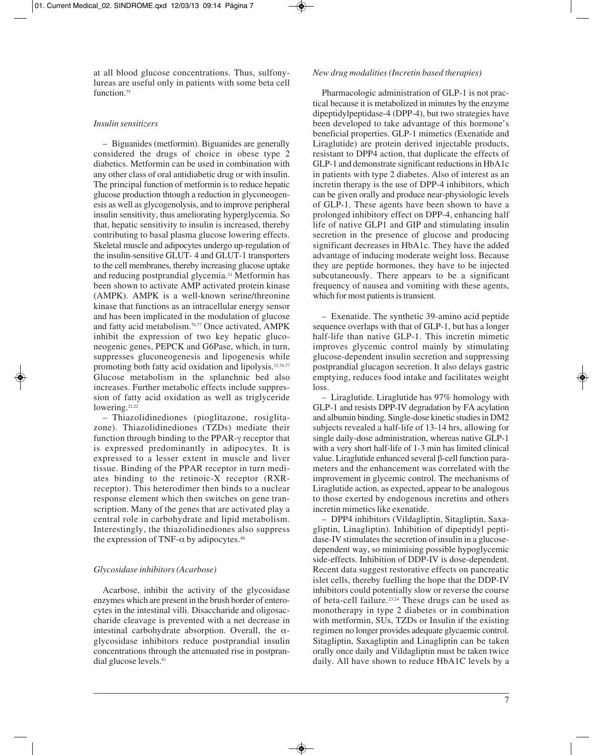at all blood glucose concentrations. Thus, sulfonylureas are useful only in patients with some beta cell function.<sup>75</sup>

# *Insulin sensitizers*

– Biguanides (metformin). Biguanides are generally considered the drugs of choice in obese type 2 diabetics. Metformin can be used in combination with any other class of oral antidiabetic drug or with insulin. The principal function of metformin is to reduce hepatic glucose production thtough a reduction in glyconeogenesis as well as glycogenolysis, and to improve peripheral insulin sensitivity, thus ameliorating hyperglycemia. So that, hepatic sensitivity to insulin is increased, thereby contributing to basal plasma glucose lowering effects. Skeletal muscle and adipocytes undergo up-regulation of the insulin-sensitive GLUT- 4 and GLUT-1 transporters to the cell membranes, thereby increasing glucose uptake and reducing postprandial glycemia.21 Metformin has been shown to activate AMP activated protein kinase (AMPK). AMPK is a well-known serine/threonine kinase that functions as an intracellular energy sensor and has been implicated in the modulation of glucose and fatty acid metabolism.<sup>76,77</sup> Once activated, AMPK inhibit the expression of two key hepatic gluconeogenic genes, PEPCK and G6Pase, which, in turn, suppresses gluconeogenesis and lipogenesis while promoting both fatty acid oxidation and lipolysis.<sup>21,76,77</sup> Glucose metabolism in the splanchnic bed also increases. Further metabolic effects include suppression of fatty acid oxidation as well as triglyceride lowering.<sup>21,22</sup>

– Thiazolidinediones (pioglitazone, rosiglitazone). Thiazolidinediones (TZDs) mediate their function through binding to the PPAR-γ receptor that is expressed predominantly in adipocytes. It is expressed to a lesser extent in muscle and liver tissue. Binding of the PPAR receptor in turn mediates binding to the retinoic-X receptor (RXRreceptor). This heterodimer then binds to a nuclear response element which then switches on gene transcription. Many of the genes that are activated play a central role in carbohydrate and lipid metabolism. Interestingly, the thiazolidinediones also suppress the expression of TNF- $\alpha$  by adipocytes.<sup>80</sup>

# *Glycosidase inhibitors (Acarbose)*

Acarbose, inhibit the activity of the glycosidase enzymes which are present in the brush border of enterocytes in the intestinal villi. Disaccharide and oligosaccharide cleavage is prevented with a net decrease in intestinal carbohydrate absorption. Overall, the  $\alpha$ glycosidase inhibitors reduce postprandial insulin concentrations through the attenuated rise in postprandial glucose levels.<sup>81</sup>

## *New drug modalities (Incretin based therapies)*

Pharmacologic administration of GLP-1 is not practical because it is metabolized in minutes by the enzyme dipeptidylpeptidase-4 (DPP-4), but two strategies have been developed to take advantage of this hormone's beneficial properties. GLP-1 mimetics (Exenatide and Liraglutide) are protein derived injectable products, resistant to DPP4 action, that duplicate the effects of GLP-1 and demonstrate significant reductions in HbA1c in patients with type 2 diabetes. Also of interest as an incretin therapy is the use of DPP-4 inhibitors, which can be given orally and produce near-physiologic levels of GLP-1. These agents have been shown to have a prolonged inhibitory effect on DPP-4, enhancing half life of native GLP1 and GIP and stimulating insulin secretion in the presence of glucose and producing significant decreases in HbA1c. They have the added advantage of inducing moderate weight loss. Because they are peptide hormones, they have to be injected subcutaneously. There appears to be a significant frequency of nausea and vomiting with these agents, which for most patients is transient.

– Exenatide. The synthetic 39-amino acid peptide sequence overlaps with that of GLP-1, but has a longer half-life than native GLP-1. This incretin mimetic improves glycemic control mainly by stimulating glucose-dependent insulin secretion and suppressing postprandial glucagon secretion. It also delays gastric emptying, reduces food intake and facilitates weight loss.

– Liraglutide. Liraglutide has 97% homology with GLP-1 and resists DPP-IV degradation by FA acylation and albumin binding. Single-dose kinetic studies in DM2 subjects revealed a half-life of 13-14 hrs, allowing for single daily-dose administration, whereas native GLP-1 with a very short half-life of 1-3 min has limited clinical value. Liraglutide enhanced several β-cell function parameters and the enhancement was correlated with the improvement in glycemic control. The mechanisms of Liraglutide action, as expected, appear to be analogous to those exerted by endogenous incretins and others incretin mimetics like exenatide.

– DPP4 inhibitors (Vildagliptin, Sitagliptin, Saxa gliptin, Linagliptin). Inhibition of dipeptidyl peptidase-IV stimulates the secretion of insulin in a glucosedependent way, so minimising possible hypoglycemic side-effects. Inhibition of DDP-IV is dose-dependent. Recent data suggest restorative effects on pancreatic islet cells, thereby fuelling the hope that the DDP-IV inhibitors could potentially slow or reverse the course of beta-cell failure.23,24 These drugs can be used as monotherapy in type 2 diabetes or in combination with metformin, SUs, TZDs or Insulin if the existing regimen no longer provides adequate glycaemic control. Sitagliptin, Saxagliptin and Linagliptin can be taken orally once daily and Vildagliptin must be taken twice daily. All have shown to reduce HbA1C levels by a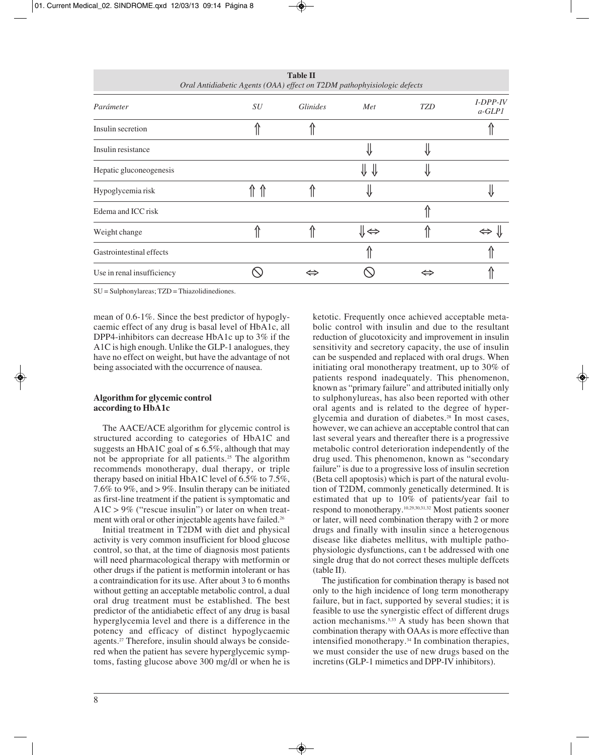| Oral Amadovine Agents (OTBA) effect on 12DM pamophytsiologic acjects |    |                 |     |            |                         |  |  |
|----------------------------------------------------------------------|----|-----------------|-----|------------|-------------------------|--|--|
| Parámeter                                                            | SU | <i>Glinides</i> | Met | <b>TZD</b> | $I-DPP-IV$<br>$a$ -GLP1 |  |  |
| Insulin secretion                                                    |    |                 |     |            |                         |  |  |
| Insulin resistance                                                   |    |                 |     |            |                         |  |  |
| Hepatic gluconeogenesis                                              |    |                 |     |            |                         |  |  |
| Hypoglycemia risk                                                    |    |                 |     |            |                         |  |  |
| Edema and ICC risk                                                   |    |                 |     |            |                         |  |  |
| Weight change                                                        |    |                 | ⇒∦  |            |                         |  |  |
| Gastrointestinal effects                                             |    |                 |     |            |                         |  |  |
| Use in renal insufficiency                                           |    |                 |     | ⇔          |                         |  |  |

**Table II** *Oral Antidiabetic Agents (OAA) effect on T2DM pathophyisiologic defects*

SU = Sulphonylareas; TZD = Thiazolidinediones.

mean of 0.6-1%. Since the best predictor of hypoglycaemic effect of any drug is basal level of HbA1c, all DPP4-inhibitors can decrease HbA1c up to 3% if the A1C is high enough. Unlike the GLP-1 analogues, they have no effect on weight, but have the advantage of not being associated with the occurrence of nausea.

# **Algorithm for glycemic control according to HbA1c**

The AACE/ACE algorithm for glycemic control is structured according to categories of HbA1C and suggests an HbA1C goal of  $\leq 6.5\%$ , although that may not be appropriate for all patients.<sup>25</sup> The algorithm recommends monotherapy, dual therapy, or triple therapy based on initial HbA1C level of 6.5% to 7.5%, 7.6% to 9%, and > 9%. Insulin therapy can be initiated as first-line treatment if the patient is symptomatic and  $A1C > 9\%$  ("rescue insulin") or later on when treatment with oral or other injectable agents have failed.<sup>26</sup>

Initial treatment in T2DM with diet and physical activity is very common insufficient for blood glucose control, so that, at the time of diagnosis most patients will need pharmacological therapy with metformin or other drugs if the patient is metformin intolerant or has a contraindication for its use. After about 3 to 6 months without getting an acceptable metabolic control, a dual oral drug treatment must be established. The best predictor of the antidiabetic effect of any drug is basal hyperglycemia level and there is a difference in the potency and efficacy of distinct hypoglycaemic agents.<sup>27</sup> Therefore, insulin should always be considered when the patient has severe hyperglycemic symptoms, fasting glucose above 300 mg/dl or when he is ketotic. Frequently once achieved acceptable metabolic control with insulin and due to the resultant reduction of glucotoxicity and improvement in insulin sensitivity and secretory capacity, the use of insulin can be suspended and replaced with oral drugs. When initiating oral monotherapy treatment, up to 30% of patients respond inadequately. This phenomenon, known as "primary failure" and attributed initially only to sulphonylureas, has also been reported with other oral agents and is related to the degree of hyperglycemia and duration of diabetes.28 In most cases, however, we can achieve an acceptable control that can last several years and thereafter there is a progressive metabolic control deterioration independently of the drug used. This phenomenon, known as "secondary failure" is due to a progressive loss of insulin secretion (Beta cell apoptosis) which is part of the natural evolution of T2DM, commonly genetically determined. It is estimated that up to 10% of patients/year fail to respond to monotherapy.10,29,30,31,32 Most patients sooner or later, will need combination therapy with 2 or more drugs and finally with insulin since a heterogenous disease like diabetes mellitus, with multiple pathophysiologic dysfunctions, can t be addressed with one single drug that do not correct theses multiple deffcets (table II).

The justification for combination therapy is based not only to the high incidence of long term monotherapy failure, but in fact, supported by several studies; it is feasible to use the synergistic effect of different drugs action mechanisms.<sup>5,33</sup> A study has been shown that combination therapy with OAAs is more effective than intensified monotherapy.34 In combination therapies, we must consider the use of new drugs based on the incretins (GLP-1 mimetics and DPP-IV inhibitors).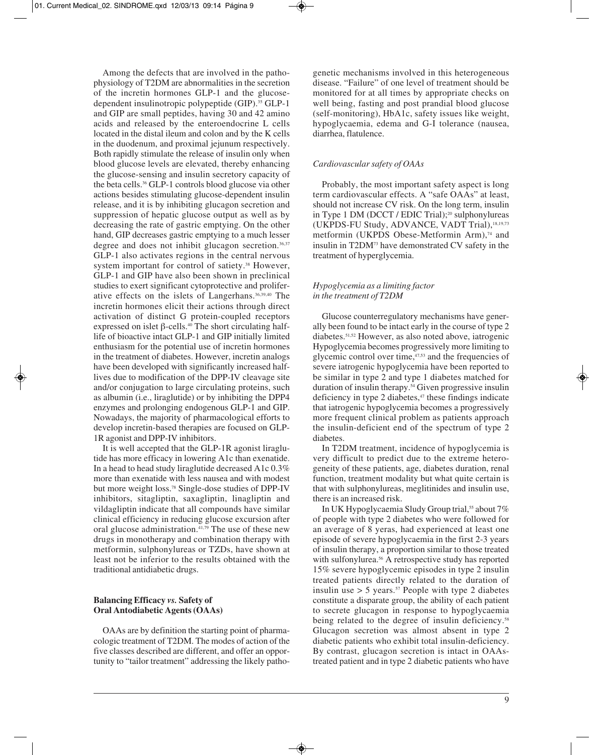Among the defects that are involved in the pathophysiology of T2DM are abnormalities in the secretion of the incretin hormones GLP-1 and the glucosedependent insulinotropic polypeptide (GIP).35 GLP-1 and GIP are small peptides, having 30 and 42 amino acids and released by the enteroendocrine L cells located in the distal ileum and colon and by the K cells in the duodenum, and proximal jejunum respectively. Both rapidly stimulate the release of insulin only when blood glucose levels are elevated, thereby enhancing the glucose-sensing and insulin secretory capacity of the beta cells.36 GLP-1 controls blood glucose via other actions besides stimulating glucose-dependent insulin release, and it is by inhibiting glucagon secretion and suppression of hepatic glucose output as well as by decreasing the rate of gastric emptying. On the other hand, GIP decreases gastric emptying to a much lesser degree and does not inhibit glucagon secretion.<sup>36,37</sup> GLP-1 also activates regions in the central nervous system important for control of satiety.<sup>38</sup> However, GLP-1 and GIP have also been shown in preclinical studies to exert significant cytoprotective and proliferative effects on the islets of Langerhans.36,39,40 The incretin hormones elicit their actions through direct activation of distinct G protein-coupled receptors expressed on islet β-cells.40 The short circulating halflife of bioactive intact GLP-1 and GIP initially limited enthusiasm for the potential use of incretin hormones in the treatment of diabetes. However, incretin analogs have been developed with significantly increased halflives due to modification of the DPP-IV cleavage site and/or conjugation to large circulating proteins, such as albumin (i.e., liraglutide) or by inhibiting the DPP4 enzymes and prolonging endogenous GLP-1 and GIP. Nowadays, the majority of pharmacological efforts to develop incretin-based therapies are focused on GLP-1R agonist and DPP-IV inhibitors.

It is well accepted that the GLP-1R agonist liraglutide has more efficacy in lowering A1c than exenatide. In a head to head study liraglutide decreased A1c 0.3% more than exenatide with less nausea and with modest but more weight loss.78 Single-dose studies of DPP-IV inhibitors, sitagliptin, saxagliptin, linagliptin and vildagliptin indicate that all compounds have similar clinical efficiency in reducing glucose excursion after oral glucose administration.<sup>41,79</sup> The use of these new drugs in monotherapy and combination therapy with metformin, sulphonylureas or TZDs, have shown at least not be inferior to the results obtained with the traditional antidiabetic drugs.

# **Balancing Efficacy** *vs.* **Safety of Oral Antodiabetic Agents (OAAs)**

OAAs are by definition the starting point of pharmacologic treatment of T2DM. The modes of action of the five classes described are different, and offer an opportunity to "tailor treatment" addressing the likely pathogenetic mechanisms involved in this heterogeneous disease. "Failure" of one level of treatment should be monitored for at all times by appropriate checks on well being, fasting and post prandial blood glucose (self-monitoring), HbA1c, safety issues like weight, hypoglycaemia, edema and G-I tolerance (nausea, diarrhea, flatulence.

# *Cardiovascular safety of OAAs*

Probably, the most important safety aspect is long term cardiovascular effects. A "safe OAAs" at least, should not increase CV risk. On the long term, insulin in Type 1 DM (DCCT / EDIC Trial);<sup>20</sup> sulphonylureas (UKPDS-FU Study, ADVANCE, VADT Trial),18,19,73 metformin (UKPDS Obese-Metformin Arm),<sup>74</sup> and insulin in T2DM73 have demonstrated CV safety in the treatment of hyperglycemia.

# *Hypoglycemia as a limiting factor in the treatment of T2DM*

Glucose counterregulatory mechanisms have generally been found to be intact early in the course of type 2 diabetes.51,52 However, as also noted above, iatrogenic Hypoglycemia becomes progressively more limiting to glycemic control over time, $47,53$  and the frequencies of severe iatrogenic hypoglycemia have been reported to be similar in type 2 and type 1 diabetes matched for duration of insulin therapy.<sup>54</sup> Given progressive insulin deficiency in type 2 diabetes, $47$  these findings indicate that iatrogenic hypoglycemia becomes a progressively more frequent clinical problem as patients approach the insulin-deficient end of the spectrum of type 2 diabetes.

In T2DM treatment, incidence of hypoglycemia is very difficult to predict due to the extreme heterogeneity of these patients, age, diabetes duration, renal function, treatment modality but what quite certain is that with sulphonylureas, meglitinides and insulin use, there is an increased risk.

In UK Hypoglycaemia Sludy Group trial,<sup>55</sup> about 7% of people with type 2 diabetes who were followed for an average of 8 yeras, had experienced at least one episode of severe hypoglycaemia in the first 2-3 years of insulin therapy, a proportion similar to those treated with sulfonylurea.<sup>56</sup> A retrospective study has reported 15% severe hypoglycemic episodes in type 2 insulin treated patients directly related to the duration of insulin use  $> 5$  years.<sup>57</sup> People with type 2 diabetes constitute a disparate group, the ability of each patient to secrete glucagon in response to hypoglycaemia being related to the degree of insulin deficiency.<sup>58</sup> Glucagon secretion was almost absent in type 2 diabetic patients who exhibit total insulin-deficiency. By contrast, glucagon secretion is intact in OAAstreated patient and in type 2 diabetic patients who have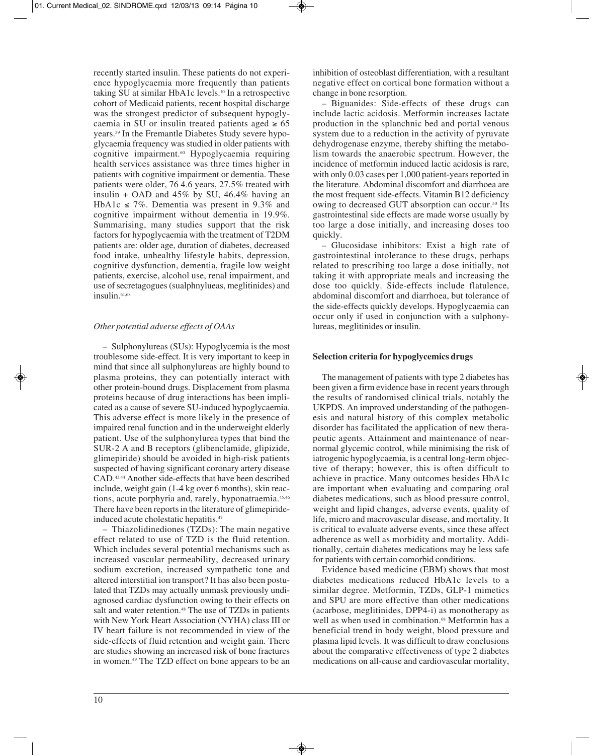recently started insulin. These patients do not experience hypoglycaemia more frequently than patients taking SU at similar HbA1c levels.10 In a retrospective cohort of Medicaid patients, recent hospital discharge was the strongest predictor of subsequent hypoglycaemia in SU or insulin treated patients aged  $\geq 65$ years.59 In the Fremantle Diabetes Study severe hypoglycaemia frequency was studied in older patients with cognitive impairment.60 Hypoglycaemia requiring health services assistance was three times higher in patients with cognitive impairment or dementia. These patients were older, 76 4.6 years, 27.5% treated with insulin + OAD and  $45\%$  by SU,  $46.4\%$  having an HbA1c  $\leq$  7%. Dementia was present in 9.3% and cognitive impairment without dementia in 19.9%. Summarising, many studies support that the risk factors for hypoglycaemia with the treatment of T2DM patients are: older age, duration of diabetes, decreased food intake, unhealthy lifestyle habits, depression, cognitive dysfunction, dementia, fragile low weight patients, exercise, alcohol use, renal impairment, and use of secretagogues (sualphnylueas, meglitinides) and insulin.<sup>61,68</sup>

# *Other potential adverse effects of OAAs*

– Sulphonylureas (SUs): Hypoglycemia is the most troublesome side-effect. It is very important to keep in mind that since all sulphonylureas are highly bound to plasma proteins, they can potentially interact with other protein-bound drugs. Displacement from plasma proteins because of drug interactions has been implicated as a cause of severe SU-induced hypoglycaemia. This adverse effect is more likely in the presence of impaired renal function and in the underweight elderly patient. Use of the sulphonylurea types that bind the SUR-2 A and B receptors (glibenclamide, glipizide, glimepiride) should be avoided in high-risk patients suspected of having significant coronary artery disease CAD.43,44 Another side-effects that have been described include, weight gain (1-4 kg over 6 months), skin reactions, acute porphyria and, rarely, hyponatraemia.45,46 There have been reports in the literature of glimepirideinduced acute cholestatic hepatitis.47

– Thiazolidinediones (TZDs): The main negative effect related to use of TZD is the fluid retention. Which includes several potential mechanisms such as increased vascular permeability, decreased urinary sodium excretion, increased sympathetic tone and altered interstitial ion transport? It has also been postulated that TZDs may actually unmask previously undiagnosed cardiac dysfunction owing to their effects on salt and water retention.<sup>48</sup> The use of TZDs in patients with New York Heart Association (NYHA) class III or IV heart failure is not recommended in view of the side-effects of fluid retention and weight gain. There are studies showing an increased risk of bone fractures in women.49 The TZD effect on bone appears to be an inhibition of osteoblast differentiation, with a resultant negative effect on cortical bone formation without a change in bone resorption.

– Biguanides: Side-effects of these drugs can include lactic acidosis. Metformin increases lactate production in the splanchnic bed and portal venous system due to a reduction in the activity of pyruvate dehydrogenase enzyme, thereby shifting the metabolism towards the anaerobic spectrum. However, the incidence of metformin induced lactic acidosis is rare, with only 0.03 cases per 1,000 patient-years reported in the literature. Abdominal discomfort and diarrhoea are the most frequent side-effects. Vitamin B12 deficiency owing to decreased GUT absorption can occur.<sup>50</sup> Its gastrointestinal side effects are made worse usually by too large a dose initially, and increasing doses too quickly.

– Glucosidase inhibitors: Exist a high rate of gastrointestinal intolerance to these drugs, perhaps related to prescribing too large a dose initially, not taking it with appropriate meals and increasing the dose too quickly. Side-effects include flatulence, abdominal discomfort and diarrhoea, but tolerance of the side-effects quickly develops. Hypoglycaemia can occur only if used in conjunction with a sulphonylureas, meglitinides or insulin.

# **Selection criteria for hypoglycemics drugs**

The management of patients with type 2 diabetes has been given a firm evidence base in recent years through the results of randomised clinical trials, notably the UKPDS. An improved understanding of the pathogenesis and natural history of this complex metabolic disorder has facilitated the application of new therapeutic agents. Attainment and maintenance of nearnormal glycemic control, while minimising the risk of iatrogenic hypoglycaemia, is a central long-term objective of therapy; however, this is often difficult to achieve in practice. Many outcomes besides HbA1c are important when evaluating and comparing oral diabetes medications, such as blood pressure control, weight and lipid changes, adverse events, quality of life, micro and macrovascular disease, and mortality. It is critical to evaluate adverse events, since these affect adherence as well as morbidity and mortality. Additionally, certain diabetes medications may be less safe for patients with certain comorbid conditions.

Evidence based medicine (EBM) shows that most diabetes medications reduced HbA1c levels to a similar degree. Metformin, TZDs, GLP-1 mimetics and SPU are more effective than other medications (acarbose, meglitinides, DPP4-i) as monotherapy as well as when used in combination.<sup>68</sup> Metformin has a beneficial trend in body weight, blood pressure and plasma lipid levels. It was difficult to draw conclusions about the comparative effectiveness of type 2 diabetes medications on all-cause and cardiovascular mortality,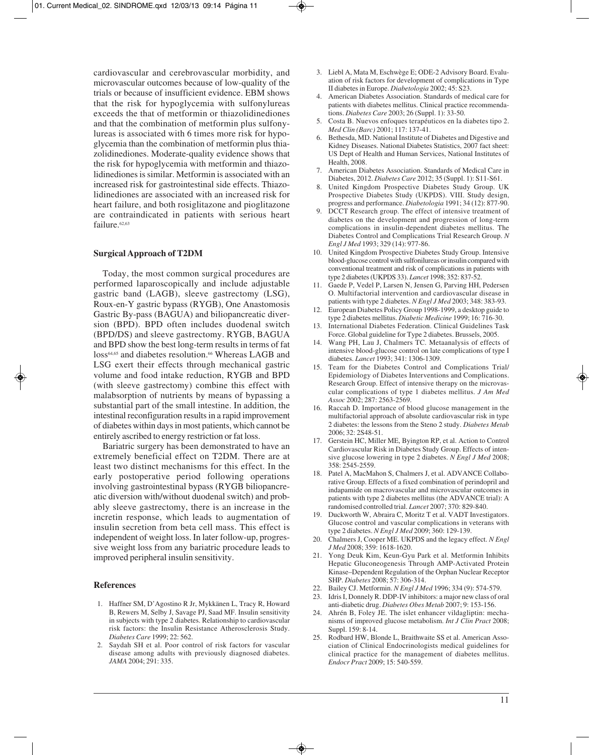cardiovascular and cerebrovascular morbidity, and microvascular outcomes because of low-quality of the trials or because of insufficient evidence. EBM shows that the risk for hypoglycemia with sulfonylureas exceeds the that of metformin or thiazolidinediones and that the combination of metformin plus sulfonylureas is associated with 6 times more risk for hypoglycemia than the combination of metformin plus thiazolidinediones. Moderate-quality evidence shows that the risk for hypoglycemia with metformin and thiazolidinediones is similar. Metformin is associated with an increased risk for gastrointestinal side effects. Thiazolidinediones are associated with an increased risk for heart failure, and both rosiglitazone and pioglitazone are contraindicated in patients with serious heart failure.<sup>62,63</sup>

## **Surgical Approach of T2DM**

Today, the most common surgical procedures are performed laparoscopically and include adjustable gastric band (LAGB), sleeve gastrectomy (LSG), Roux-en-Y gastric bypass (RYGB), One Anastomosis Gastric By-pass (BAGUA) and biliopancreatic diversion (BPD). BPD often includes duodenal switch (BPD/DS) and sleeve gastrectomy. RYGB, BAGUA and BPD show the best long-term results in terms of fat loss<sup>64,65</sup> and diabetes resolution.<sup>66</sup> Whereas LAGB and LSG exert their effects through mechanical gastric volume and food intake reduction, RYGB and BPD (with sleeve gastrectomy) combine this effect with malabsorption of nutrients by means of bypassing a substantial part of the small intestine. In addition, the intestinal reconfiguration results in a rapid improvement of diabetes within days in most patients, which cannot be entirely ascribed to energy restriction or fat loss.

Bariatric surgery has been demonstrated to have an extremely beneficial effect on T2DM. There are at least two distinct mechanisms for this effect. In the early postoperative period following operations involving gastrointestinal bypass (RYGB biliopancreatic diversion with/without duodenal switch) and probably sleeve gastrectomy, there is an increase in the incretin response, which leads to augmentation of insulin secretion from beta cell mass. This effect is independent of weight loss. In later follow-up, progressive weight loss from any bariatric procedure leads to improved peripheral insulin sensitivity.

# **References**

- 1. Haffner SM, D'Agostino R Jr, Mykkänen L, Tracy R, Howard B, Rewers M, Selby J, Savage PJ, Saad MF. Insulin sensitivity in subjects with type 2 diabetes. Relationship to cardiovascular risk factors: the Insulin Resistance Atherosclerosis Study. *Diabetes Care* 1999; 22: 562.
- 2. Saydah SH et al. Poor control of risk factors for vascular disease among adults with previously diagnosed diabetes. *JAMA* 2004; 291: 335.
- 3. Liebl A, Mata M, Eschwège E; ODE-2 Advisory Board. Evaluation of risk factors for development of complications in Type II diabetes in Europe. *Diabetologia* 2002; 45: S23.
- 4. American Diabetes Association. Standards of medical care for patients with diabetes mellitus. Clinical practice recommendations. *Diabetes Care* 2003; 26 (Suppl. 1): 33-50.
- 5. Costa B. Nuevos enfoques terapéuticos en la diabetes tipo 2. *Med Clin (Barc)* 2001; 117: 137-41.
- 6. Bethesda, MD. National Institute of Diabetes and Digestive and Kidney Diseases. National Diabetes Statistics, 2007 fact sheet: US Dept of Health and Human Services, National Institutes of Health, 2008.
- 7. American Diabetes Association. Standards of Medical Care in Diabetes, 2012. *Diabetes Care* 2012; 35 (Suppl. 1): S11-S61.
- 8. United Kingdom Prospective Diabetes Study Group. UK Prospective Diabetes Study (UKPDS). VIII. Study design, progress and performance. *Diabetologia* 1991; 34 (12): 877-90.
- 9. DCCT Research group. The effect of intensive treatment of diabetes on the development and progression of long-term complications in insulin-dependent diabetes mellitus. The Diabetes Control and Complications Trial Research Group. *N Engl J Med* 1993; 329 (14): 977-86.
- 10. United Kingdom Prospective Diabetes Study Group. Intensive blood-glucose control with sulfonilureas or insulin compared with conventional treatment and risk of complications in patients with type 2 diabetes (UKPDS 33). *Lancet* 1998; 352: 837-52.
- 11. Gaede P, Vedel P, Larsen N, Jensen G, Parving HH, Pedersen O. Multifactorial intervention and cardiovascular disease in patients with type 2 diabetes. *N Engl J Med* 2003; 348: 383-93.
- 12. European Diabetes Policy Group 1998-1999, a desktop guide to type 2 diabetes mellitus. *Diabetic Medicine* 1999; 16: 716-30.
- 13. International Diabetes Federation. Clinical Guidelines Task Force. Global guideline for Type 2 diabetes. Brussels, 2005.
- 14. Wang PH, Lau J, Chalmers TC. Metaanalysis of effects of intensive blood-glucose control on late complications of type I diabetes. *Lancet* 1993; 341: 1306-1309.
- 15. Team for the Diabetes Control and Complications Trial/ Epidemiology of Diabetes Interventions and Complications. Research Group. Effect of intensive therapy on the microvascular complications of type 1 diabetes mellitus. *J Am Med Assoc* 2002; 287: 2563-2569.
- 16. Raccah D. Importance of blood glucose management in the multifactorial approach of absolute cardiovascular risk in type 2 diabetes: the lessons from the Steno 2 study. *Diabetes Metab* 2006; 32: 2S48-51.
- 17. Gerstein HC, Miller ME, Byington RP, et al. Action to Control Cardiovascular Risk in Diabetes Study Group. Effects of intensive glucose lowering in type 2 diabetes. *N Engl J Med* 2008; 358: 2545-2559.
- 18. Patel A, MacMahon S, Chalmers J, et al. ADVANCE Collaborative Group. Effects of a fixed combination of perindopril and indapamide on macrovascular and microvascular outcomes in patients with type 2 diabetes mellitus (the ADVANCE trial): A randomised controlled trial. *Lancet* 2007; 370: 829-840.
- 19. Duckworth W, Abraira C, Moritz T et al. VADT Investigators. Glucose control and vascular complications in veterans with type 2 diabetes. *N Engl J Med* 2009; 360: 129-139.
- 20. Chalmers J, Cooper ME. UKPDS and the legacy effect. *N Engl J Med* 2008; 359: 1618-1620.
- 21. Yong Deuk Kim, Keun-Gyu Park et al. Metformin Inhibits Hepatic Gluconeogenesis Through AMP-Activated Protein Kinase–Dependent Regulation of the Orphan Nuclear Receptor SHP. *Diabetes* 2008; 57: 306-314.
- 22. Bailey CJ. Metformin. *N Engl J Med* 1996; 334 (9): 574-579.
- 23. Idris I, Donnely R. DDP-IV inhibitors: a major new class of oral anti-diabetic drug. *Diabetes Obes Metab* 2007; 9: 153-156.
- 24. Ahrén B, Foley JE. The islet enhancer vildagliptin: mechanisms of improved glucose metabolism. *Int J Clin Pract* 2008; Suppl. 159: 8-14.
- 25. Rodbard HW, Blonde L, Braithwaite SS et al. American Association of Clinical Endocrinologists medical guidelines for clinical practice for the management of diabetes mellitus. *Endocr Pract* 2009; 15: 540-559.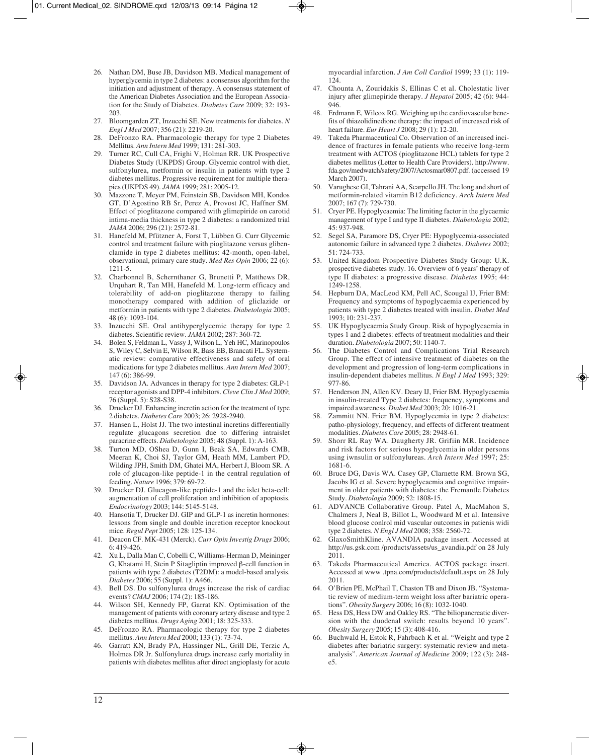- 26. Nathan DM, Buse JB, Davidson MB. Medical management of hyperglycemia in type 2 diabetes: a consensus algorithm for the initiation and adjustment of therapy. A consensus statement of the American Diabetes Association and the European Association for the Study of Diabetes. *Diabetes Care* 2009; 32: 193- 203.
- 27. Bloomgarden ZT, Inzucchi SE. New treatments for diabetes. *N Engl J Med* 2007; 356 (21): 2219-20.
- 28. DeFronzo RA. Pharmacologic therapy for type 2 Diabetes Mellitus. *Ann Intern Med* 1999; 131: 281-303.
- 29. Turner RC, Cull CA, Frighi V, Holman RR. UK Prospective Diabetes Study (UKPDS) Group. Glycemic control with diet, sulfonylurea, metformin or insulin in patients with type 2 diabetes mellitus. Progressive requirement for multiple therapies (UKPDS 49). *JAMA* 1999; 281: 2005-12.
- 30. Mazzone T, Meyer PM, Feinstein SB, Davidson MH, Kondos GT, D'Agostino RB Sr, Perez A, Provost JC, Haffner SM. Effect of pioglitazone compared with glimepiride on carotid intima-media thickness in type 2 diabetes: a randomized trial *JAMA* 2006; 296 (21): 2572-81.
- 31. Hanefeld M, Pfützner A, Forst T, Lübben G. Curr Glycemic control and treatment failure with pioglitazone versus glibenclamide in type 2 diabetes mellitus: 42-month, open-label, observational, primary care study. *Med Res Opin* 2006; 22 (6): 1211-5.
- 32. Charbonnel B, Schernthaner G, Brunetti P, Matthews DR, Urquhart R, Tan MH, Hanefeld M. Long-term efficacy and tolerability of add-on pioglitazone therapy to failing monotherapy compared with addition of gliclazide or metformin in patients with type 2 diabetes. *Diabetologia* 2005; 48 (6): 1093-104.
- 33. Inzucchi SE. Oral antihyperglycemic therapy for type 2 diabetes. Scientific review. *JAMA* 2002; 287: 360-72.
- 34. Bolen S, Feldman L, Vassy J, Wilson L, Yeh HC, Marinopoulos S, Wiley C, Selvin E, Wilson R, Bass EB, Brancati FL. Systematic review: comparative effectiveness and safety of oral medications for type 2 diabetes mellitus. *Ann Intern Med* 2007; 147 (6): 386-99.
- 35. Davidson JA. Advances in therapy for type 2 diabetes: GLP-1 receptor agonists and DPP-4 inhibitors. *Cleve Clin J Med* 2009; 76 (Suppl. 5): S28-S38.
- 36. Drucker DJ. Enhancing incretin action for the treatment of type 2 diabetes. *Diabetes Care* 2003; 26: 2928-2940.
- 37. Hansen L, Holst JJ. The two intestinal incretins differentially regulate glucagons secretion due to differing intraislet paracrine effects. *Diabetologia* 2005; 48 (Suppl. 1): A-163.
- 38. Turton MD, OShea D, Gunn I, Beak SA, Edwards CMB, Meeran K, Choi SJ, Taylor GM, Heath MM, Lambert PD, Wilding JPH, Smith DM, Ghatei MA, Herbert J, Bloom SR. A role of glucagon-like peptide-1 in the central regulation of feeding. *Nature* 1996; 379: 69-72.
- 39. Drucker DJ. Glucagon-like peptide-1 and the islet beta-cell: augmentation of cell proliferation and inhibition of apoptosis. *Endocrinology* 2003; 144: 5145-5148.
- 40. Hansotia T, Drucker DJ. GIP and GLP-1 as incretin hormones: lessons from single and double incretion receptor knockout mice. *Regul Pept* 2005; 128: 125-134.
- 41. Deacon CF. MK-431 (Merck). *Curr Opin Investig Drugs* 2006; 6: 419-426.
- 42. Xu L, Dalla Man C, Cobelli C, Williams-Herman D, Meininger G, Khatami H, Stein P Sitagliptin improved β-cell function in patients with type 2 diabetes (T2DM): a model-based analysis. *Diabetes* 2006; 55 (Suppl. 1): A466.
- 43. Bell DS. Do sulfonylurea drugs increase the risk of cardiac events? *CMAJ* 2006; 174 (2): 185-186.
- 44. Wilson SH, Kennedy FP, Garrat KN. Optimisation of the management of patients with coronary artery disease and type 2 diabetes mellitus. *Drugs Aging* 2001; 18: 325-333.
- 45. DeFronzo RA. Pharmacologic therapy for type 2 diabetes mellitus. *Ann Intern Med* 2000; 133 (1): 73-74.
- 46. Garratt KN, Brady PA, Hassinger NL, Grill DE, Terzic A, Holmes DR Jr. Sulfonylurea drugs increase early mortality in patients with diabetes mellitus after direct angioplasty for acute

myocardial infarction. *J Am Coll Cardiol* 1999; 33 (1): 119- 124.

- 47. Chounta A, Zouridakis S, Ellinas C et al. Cholestatic liver injury after glimepiride therapy. *J Hepatol* 2005; 42 (6): 944-  $946.$
- 48. Erdmann E, Wilcox RG. Weighing up the cardiovascular benefits of thiazolidinedione therapy: the impact of increased risk of heart failure. *Eur Heart J* 2008; 29 (1): 12-20.
- 49. Takeda Pharmaceutical Co. Observation of an increased incidence of fractures in female patients who receive long-term treatment with ACTOS (pioglitazone HCL) tablets for type 2 diabetes mellitus (Letter to Health Care Providers). http://www. fda.gov/medwatch/safety/2007/Actosmar0807.pdf. (accessed 19 March 2007).
- 50. Varughese GI, Tahrani AA, Scarpello JH. The long and short of metformin-related vitamin B12 deficiency. *Arch Intern Med* 2007; 167 (7): 729-730.
- 51. Cryer PE. Hypoglycaemia: The limiting factor in the glycaemic management of type I and type II diabetes. *Diabetologia* 2002; 45: 937-948.
- 52. Segel SA, Paramore DS, Cryer PE: Hypoglycemia-associated autonomic failure in advanced type 2 diabetes. *Diabetes* 2002; 51: 724-733.
- 53. United Kingdom Prospective Diabetes Study Group: U.K. prospective diabetes study. 16. Overview of 6 years' therapy of type II diabetes: a progressive disease. *Diabetes* 1995; 44: 1249-1258.
- 54. Hepburn DA, MacLeod KM, Pell AC, Scougal IJ, Frier BM: Frequency and symptoms of hypoglycaemia experienced by patients with type 2 diabetes treated with insulin. *Diabet Med* 1993; 10: 231-237.
- 55. UK Hypoglycaemia Study Group. Risk of hypoglycaemia in types 1 and 2 diabetes: effects of treatment modalities and their duration. *Diabetologia* 2007; 50: 1140-7.
- 56. The Diabetes Control and Complications Trial Research Group. The effect of intensive treatment of diabetes on the development and progression of long-term complications in insulin-dependent diabetes mellitus. *N Engl J Med* 1993; 329: 977-86.
- 57. Henderson JN, Allen KV. Deary IJ, Frier BM. Hypoglycaemia in insulin-treated Type 2 diabetes: frequency, symptoms and impaired awareness. *Diabet Med* 2003; 20: 1016-21.
- 58. Zammitt NN. Frier BM. Hypoglycemia in type 2 diabetes: patho-physiology, frequency, and effects of different treatment modalities. *Diabetes Care* 2005; 28: 2948-61.
- 59. Shorr RL Ray WA. Daugherty JR. Grifiin MR. Incidence and risk factors for serious hypoglycemia in older persons using iwnsulin or sulfonylureas. *Arch Intern Med* 1997; 25: 1681-6.
- 60. Bruce DG, Davis WA. Casey GP, Clarnette RM. Brown SG, Jacobs IG et al. Severe hypoglycaemia and cognitive impairment in older patients with diabetes: the Fremantle Diabetes Study. *Diabetologia* 2009; 52: 1808-15.
- 61. ADVANCE Collaborative Group. Patel A, MacMahon S, Chalmers J, Neal B, Billot L, Woodward M et al. Intensive blood glucose conlrol mid vascular outcomes in patienis widi type 2 diabetes. *N Engl J Med* 2008; 358: 2560-72.
- 62. GlaxoSmithKline. AVANDIA package insert. Accessed at http://us.gsk.com /products/assets/us\_avandia.pdf on 28 July 2011.
- 63. Takeda Pharmaceutical America. ACTOS package insert. Accessed at www .tpna.com/products/default.aspx on 28 July 2011.
- 64. O'Brien PE, McPhail T, Chaston TB and Dixon JB. "Systema tic review of medium-term weight loss after bariatric operations". *Obesity Surgery* 2006; 16 (8): 1032-1040.
- 65. Hess DS, Hess DW and Oakley RS. "The biliopancreatic diversion with the duodenal switch: results beyond 10 years". *Obesity Surgery* 2005; 15 (3): 408-416.
- 66. Buchwald H, Estok R, Fahrbach K et al. "Weight and type 2 diabetes after bariatric surgery: systematic review and metaanalysis". *American Journal of Medicine* 2009; 122 (3): 248 e5.